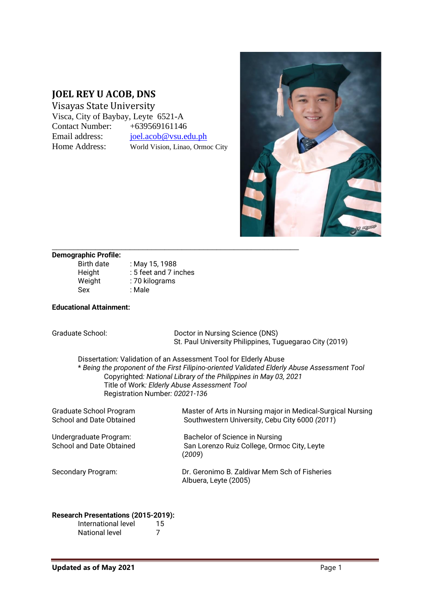# **JOEL REY U ACOB, DNS**

Visayas State University Visca, City of Baybay, Leyte 6521-A Contact Number: +639569161146 Email address: [joel.acob@vsu.edu.ph](mailto:joel.acob@vsu.edu.ph) Home Address: World Vision, Linao, Ormoc City



#### **Demographic Profile:**

| <b>Birth date</b> | : May 15, 1988        |
|-------------------|-----------------------|
| Height            | : 5 feet and 7 inches |
| Weight            | : 70 kilograms        |
| Sex               | : Male                |

#### **Educational Attainment:**

| Graduate School:                                                                                                                                                                                                                                                                                                       | Doctor in Nursing Science (DNS)<br>St. Paul University Philippines, Tuguegarao City (2019)                    |  |
|------------------------------------------------------------------------------------------------------------------------------------------------------------------------------------------------------------------------------------------------------------------------------------------------------------------------|---------------------------------------------------------------------------------------------------------------|--|
| Dissertation: Validation of an Assessment Tool for Elderly Abuse<br>* Being the proponent of the First Filipino-oriented Validated Elderly Abuse Assessment Tool<br>Copyrighted: National Library of the Philippines in May 03, 2021<br>Title of Work: Elderly Abuse Assessment Tool<br>Registration Number: 02021-136 |                                                                                                               |  |
| Graduate School Program<br>School and Date Obtained                                                                                                                                                                                                                                                                    | Master of Arts in Nursing major in Medical-Surgical Nursing<br>Southwestern University, Cebu City 6000 (2011) |  |
| Undergraduate Program:<br>School and Date Obtained                                                                                                                                                                                                                                                                     | Bachelor of Science in Nursing<br>San Lorenzo Ruiz College, Ormoc City, Leyte<br>(2009)                       |  |
| Secondary Program:                                                                                                                                                                                                                                                                                                     | Dr. Geronimo B. Zaldivar Mem Sch of Fisheries<br>Albuera, Leyte (2005)                                        |  |

#### **Research Presentations (2015-2019):**

| International level | 15 |
|---------------------|----|
| National level      | 7  |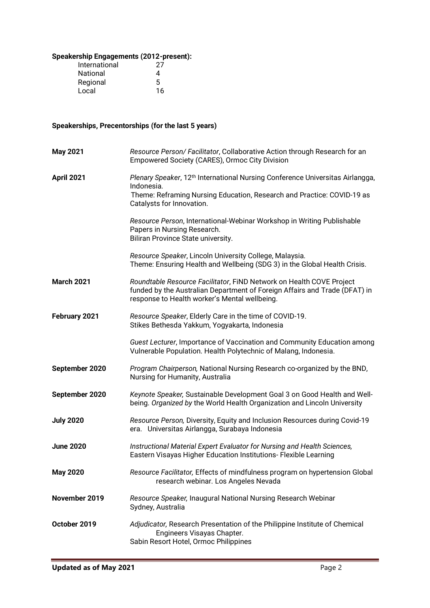## **Speakership Engagements (2012-present):**

| International | 27 |
|---------------|----|
| National      | 4  |
| Regional      | 5  |
| Local         | 16 |

# **Speakerships, Precentorships (for the last 5 years)**

| <b>May 2021</b>   | Resource Person/ Facilitator, Collaborative Action through Research for an<br>Empowered Society (CARES), Ormoc City Division                                                                                   |
|-------------------|----------------------------------------------------------------------------------------------------------------------------------------------------------------------------------------------------------------|
| <b>April 2021</b> | Plenary Speaker, 12 <sup>th</sup> International Nursing Conference Universitas Airlangga,<br>Indonesia.<br>Theme: Reframing Nursing Education, Research and Practice: COVID-19 as<br>Catalysts for Innovation. |
|                   | Resource Person, International-Webinar Workshop in Writing Publishable<br>Papers in Nursing Research.<br>Biliran Province State university.                                                                    |
|                   | Resource Speaker, Lincoln University College, Malaysia.<br>Theme: Ensuring Health and Wellbeing (SDG 3) in the Global Health Crisis.                                                                           |
| <b>March 2021</b> | Roundtable Resource Facilitator, FIND Network on Health COVE Project<br>funded by the Australian Department of Foreign Affairs and Trade (DFAT) in<br>response to Health worker's Mental wellbeing.            |
| February 2021     | Resource Speaker, Elderly Care in the time of COVID-19.<br>Stikes Bethesda Yakkum, Yogyakarta, Indonesia                                                                                                       |
|                   | Guest Lecturer, Importance of Vaccination and Community Education among<br>Vulnerable Population. Health Polytechnic of Malang, Indonesia.                                                                     |
| September 2020    | Program Chairperson, National Nursing Research co-organized by the BND,<br>Nursing for Humanity, Australia                                                                                                     |
| September 2020    | Keynote Speaker, Sustainable Development Goal 3 on Good Health and Well-<br>being. Organized by the World Health Organization and Lincoln University                                                           |
| <b>July 2020</b>  | Resource Person, Diversity, Equity and Inclusion Resources during Covid-19<br>era. Universitas Airlangga, Surabaya Indonesia                                                                                   |
| <b>June 2020</b>  | Instructional Material Expert Evaluator for Nursing and Health Sciences,<br>Eastern Visayas Higher Education Institutions- Flexible Learning                                                                   |
| <b>May 2020</b>   | Resource Facilitator, Effects of mindfulness program on hypertension Global<br>research webinar. Los Angeles Nevada                                                                                            |
| November 2019     | Resource Speaker, Inaugural National Nursing Research Webinar<br>Sydney, Australia                                                                                                                             |
| October 2019      | Adjudicator, Research Presentation of the Philippine Institute of Chemical<br>Engineers Visayas Chapter.<br>Sabin Resort Hotel, Ormoc Philippines                                                              |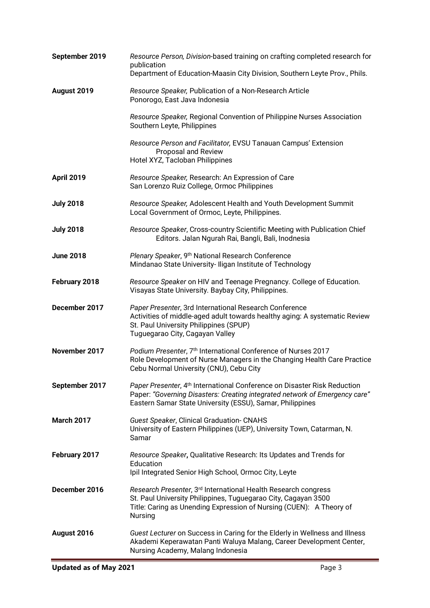| September 2019    | Resource Person, Division-based training on crafting completed research for<br>publication<br>Department of Education-Maasin City Division, Southern Leyte Prov., Phils.                                                         |
|-------------------|----------------------------------------------------------------------------------------------------------------------------------------------------------------------------------------------------------------------------------|
| August 2019       | Resource Speaker, Publication of a Non-Research Article<br>Ponorogo, East Java Indonesia                                                                                                                                         |
|                   | Resource Speaker, Regional Convention of Philippine Nurses Association<br>Southern Leyte, Philippines                                                                                                                            |
|                   | Resource Person and Facilitator, EVSU Tanauan Campus' Extension<br>Proposal and Review<br>Hotel XYZ, Tacloban Philippines                                                                                                        |
| <b>April 2019</b> | Resource Speaker, Research: An Expression of Care<br>San Lorenzo Ruiz College, Ormoc Philippines                                                                                                                                 |
| <b>July 2018</b>  | Resource Speaker, Adolescent Health and Youth Development Summit<br>Local Government of Ormoc, Leyte, Philippines.                                                                                                               |
| <b>July 2018</b>  | Resource Speaker, Cross-country Scientific Meeting with Publication Chief<br>Editors. Jalan Ngurah Rai, Bangli, Bali, Inodnesia                                                                                                  |
| <b>June 2018</b>  | Plenary Speaker, 9th National Research Conference<br>Mindanao State University-Iligan Institute of Technology                                                                                                                    |
| February 2018     | Resource Speaker on HIV and Teenage Pregnancy. College of Education.<br>Visayas State University. Baybay City, Philippines.                                                                                                      |
| December 2017     | Paper Presenter, 3rd International Research Conference<br>Activities of middle-aged adult towards healthy aging: A systematic Review<br>St. Paul University Philippines (SPUP)<br>Tuguegarao City, Cagayan Valley                |
| November 2017     | Podium Presenter, 7th International Conference of Nurses 2017<br>Role Development of Nurse Managers in the Changing Health Care Practice<br>Cebu Normal University (CNU), Cebu City                                              |
| September 2017    | Paper Presenter, 4 <sup>th</sup> International Conference on Disaster Risk Reduction<br>Paper: "Governing Disasters: Creating integrated network of Emergency care"<br>Eastern Samar State University (ESSU), Samar, Philippines |
| <b>March 2017</b> | <b>Guest Speaker, Clinical Graduation- CNAHS</b><br>University of Eastern Philippines (UEP), University Town, Catarman, N.<br>Samar                                                                                              |
| February 2017     | Resource Speaker, Qualitative Research: Its Updates and Trends for<br>Education<br>Ipil Integrated Senior High School, Ormoc City, Leyte                                                                                         |
| December 2016     | Research Presenter, 3 <sup>rd</sup> International Health Research congress<br>St. Paul University Philippines, Tuguegarao City, Cagayan 3500<br>Title: Caring as Unending Expression of Nursing (CUEN): A Theory of<br>Nursing   |
| August 2016       | Guest Lecturer on Success in Caring for the Elderly in Wellness and Illness<br>Akademi Keperawatan Panti Waluya Malang, Career Development Center,<br>Nursing Academy, Malang Indonesia                                          |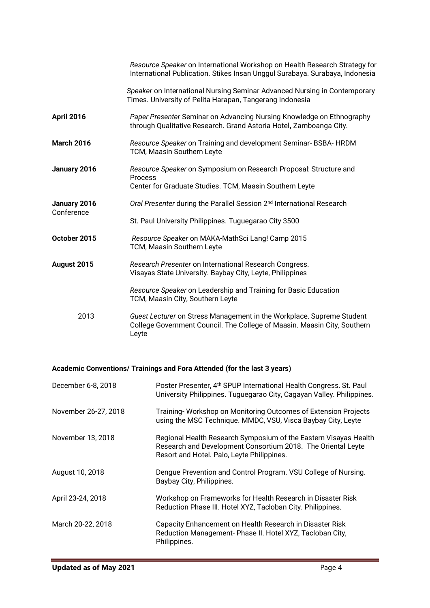|                            | Resource Speaker on International Workshop on Health Research Strategy for<br>International Publication. Stikes Insan Unggul Surabaya. Surabaya, Indonesia |
|----------------------------|------------------------------------------------------------------------------------------------------------------------------------------------------------|
|                            | Speaker on International Nursing Seminar Advanced Nursing in Contemporary<br>Times. University of Pelita Harapan, Tangerang Indonesia                      |
| <b>April 2016</b>          | Paper Presenter Seminar on Advancing Nursing Knowledge on Ethnography<br>through Qualitative Research. Grand Astoria Hotel, Zamboanga City.                |
| <b>March 2016</b>          | Resource Speaker on Training and development Seminar-BSBA-HRDM<br>TCM, Maasin Southern Leyte                                                               |
| January 2016               | Resource Speaker on Symposium on Research Proposal: Structure and<br>Process<br>Center for Graduate Studies. TCM, Maasin Southern Leyte                    |
| January 2016<br>Conference | Oral Presenter during the Parallel Session 2 <sup>nd</sup> International Research                                                                          |
|                            | St. Paul University Philippines. Tuguegarao City 3500                                                                                                      |
| October 2015               | Resource Speaker on MAKA-MathSci Lang! Camp 2015<br>TCM, Maasin Southern Leyte                                                                             |
| August 2015                | Research Presenter on International Research Congress.<br>Visayas State University. Baybay City, Leyte, Philippines                                        |
|                            | Resource Speaker on Leadership and Training for Basic Education<br>TCM, Maasin City, Southern Leyte                                                        |
| 2013                       | Guest Lecturer on Stress Management in the Workplace. Supreme Student<br>College Government Council. The College of Maasin. Maasin City, Southern<br>Leyte |

# **Academic Conventions/ Trainings and Fora Attended (for the last 3 years)**

| December 6-8, 2018   | Poster Presenter, 4 <sup>th</sup> SPUP International Health Congress. St. Paul<br>University Philippines. Tuguegarao City, Cagayan Valley. Philippines.                        |
|----------------------|--------------------------------------------------------------------------------------------------------------------------------------------------------------------------------|
| November 26-27, 2018 | Training-Workshop on Monitoring Outcomes of Extension Projects<br>using the MSC Technique. MMDC, VSU, Visca Baybay City, Leyte                                                 |
| November 13, 2018    | Regional Health Research Symposium of the Eastern Visayas Health<br>Research and Development Consortium 2018. The Oriental Leyte<br>Resort and Hotel. Palo, Leyte Philippines. |
| August 10, 2018      | Dengue Prevention and Control Program. VSU College of Nursing.<br>Baybay City, Philippines.                                                                                    |
| April 23-24, 2018    | Workshop on Frameworks for Health Research in Disaster Risk<br>Reduction Phase III. Hotel XYZ, Tacloban City. Philippines.                                                     |
| March 20-22, 2018    | Capacity Enhancement on Health Research in Disaster Risk<br>Reduction Management-Phase II. Hotel XYZ, Tacloban City,<br>Philippines.                                           |

ī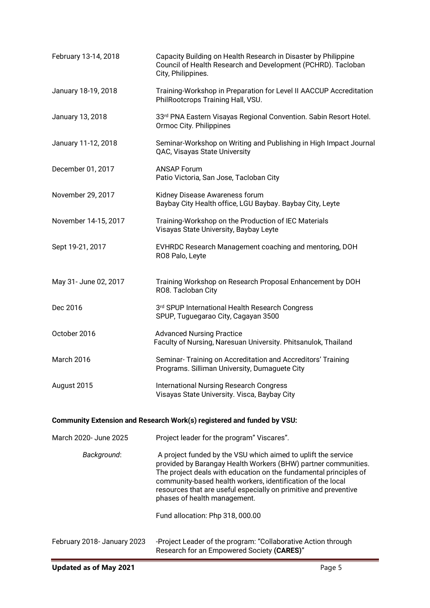| February 13-14, 2018        | Capacity Building on Health Research in Disaster by Philippine<br>Council of Health Research and Development (PCHRD). Tacloban<br>City, Philippines.                                                                                                                                                                                                                    |
|-----------------------------|-------------------------------------------------------------------------------------------------------------------------------------------------------------------------------------------------------------------------------------------------------------------------------------------------------------------------------------------------------------------------|
| January 18-19, 2018         | Training-Workshop in Preparation for Level II AACCUP Accreditation<br>PhilRootcrops Training Hall, VSU.                                                                                                                                                                                                                                                                 |
| January 13, 2018            | 33rd PNA Eastern Visayas Regional Convention. Sabin Resort Hotel.<br>Ormoc City. Philippines                                                                                                                                                                                                                                                                            |
| January 11-12, 2018         | Seminar-Workshop on Writing and Publishing in High Impact Journal<br>QAC, Visayas State University                                                                                                                                                                                                                                                                      |
| December 01, 2017           | <b>ANSAP Forum</b><br>Patio Victoria, San Jose, Tacloban City                                                                                                                                                                                                                                                                                                           |
| November 29, 2017           | Kidney Disease Awareness forum<br>Baybay City Health office, LGU Baybay. Baybay City, Leyte                                                                                                                                                                                                                                                                             |
| November 14-15, 2017        | Training-Workshop on the Production of IEC Materials<br>Visayas State University, Baybay Leyte                                                                                                                                                                                                                                                                          |
| Sept 19-21, 2017            | EVHRDC Research Management coaching and mentoring, DOH<br>RO8 Palo, Leyte                                                                                                                                                                                                                                                                                               |
| May 31- June 02, 2017       | Training Workshop on Research Proposal Enhancement by DOH<br>RO8. Tacloban City                                                                                                                                                                                                                                                                                         |
| Dec 2016                    | 3rd SPUP International Health Research Congress<br>SPUP, Tuguegarao City, Cagayan 3500                                                                                                                                                                                                                                                                                  |
| October 2016                | <b>Advanced Nursing Practice</b><br>Faculty of Nursing, Naresuan University. Phitsanulok, Thailand                                                                                                                                                                                                                                                                      |
| March 2016                  | Seminar-Training on Accreditation and Accreditors' Training<br>Programs. Silliman University, Dumaguete City                                                                                                                                                                                                                                                            |
| August 2015                 | <b>International Nursing Research Congress</b><br>Visayas State University. Visca, Baybay City                                                                                                                                                                                                                                                                          |
|                             | Community Extension and Research Work(s) registered and funded by VSU:                                                                                                                                                                                                                                                                                                  |
| March 2020- June 2025       | Project leader for the program" Viscares".                                                                                                                                                                                                                                                                                                                              |
| Background:                 | A project funded by the VSU which aimed to uplift the service<br>provided by Barangay Health Workers (BHW) partner communities.<br>The project deals with education on the fundamental principles of<br>community-based health workers, identification of the local<br>resources that are useful especially on primitive and preventive<br>phases of health management. |
|                             | Fund allocation: Php 318, 000.00                                                                                                                                                                                                                                                                                                                                        |
| February 2018- January 2023 | -Project Leader of the program: "Collaborative Action through<br>Research for an Empowered Society (CARES)"                                                                                                                                                                                                                                                             |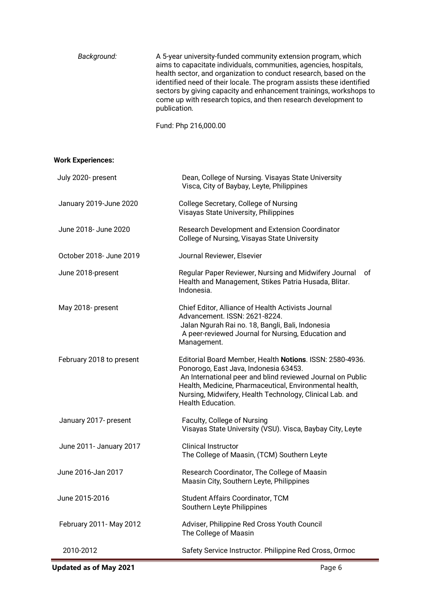| aims to capacitate individuals, communities, agencies, hospitals,<br>come up with research topics, and then research development to<br>publication. | Background: | A 5-year university-funded community extension program, which<br>health sector, and organization to conduct research, based on the<br>identified need of their locale. The program assists these identified<br>sectors by giving capacity and enhancement trainings, workshops to |
|-----------------------------------------------------------------------------------------------------------------------------------------------------|-------------|-----------------------------------------------------------------------------------------------------------------------------------------------------------------------------------------------------------------------------------------------------------------------------------|
|-----------------------------------------------------------------------------------------------------------------------------------------------------|-------------|-----------------------------------------------------------------------------------------------------------------------------------------------------------------------------------------------------------------------------------------------------------------------------------|

Fund: Php 216,000.00

## **Work Experiences:**

| July 2020- present       | Dean, College of Nursing. Visayas State University<br>Visca, City of Baybay, Leyte, Philippines                                                                                                                                                                                                             |
|--------------------------|-------------------------------------------------------------------------------------------------------------------------------------------------------------------------------------------------------------------------------------------------------------------------------------------------------------|
| January 2019-June 2020   | College Secretary, College of Nursing<br>Visayas State University, Philippines                                                                                                                                                                                                                              |
| June 2018- June 2020     | Research Development and Extension Coordinator<br>College of Nursing, Visayas State University                                                                                                                                                                                                              |
| October 2018- June 2019  | Journal Reviewer, Elsevier                                                                                                                                                                                                                                                                                  |
| June 2018-present        | Regular Paper Reviewer, Nursing and Midwifery Journal<br>οf<br>Health and Management, Stikes Patria Husada, Blitar.<br>Indonesia.                                                                                                                                                                           |
| May 2018- present        | Chief Editor, Alliance of Health Activists Journal<br>Advancement. ISSN: 2621-8224.<br>Jalan Ngurah Rai no. 18, Bangli, Bali, Indonesia<br>A peer-reviewed Journal for Nursing, Education and<br>Management.                                                                                                |
| February 2018 to present | Editorial Board Member, Health Notions. ISSN: 2580-4936.<br>Ponorogo, East Java, Indonesia 63453.<br>An International peer and blind reviewed Journal on Public<br>Health, Medicine, Pharmaceutical, Environmental health,<br>Nursing, Midwifery, Health Technology, Clinical Lab. and<br>Health Education. |
| January 2017- present    | Faculty, College of Nursing<br>Visayas State University (VSU). Visca, Baybay City, Leyte                                                                                                                                                                                                                    |
| June 2011- January 2017  | <b>Clinical Instructor</b><br>The College of Maasin, (TCM) Southern Leyte                                                                                                                                                                                                                                   |
| June 2016-Jan 2017       | Research Coordinator, The College of Maasin<br>Maasin City, Southern Leyte, Philippines                                                                                                                                                                                                                     |
| June 2015-2016           | Student Affairs Coordinator, TCM<br>Southern Leyte Philippines                                                                                                                                                                                                                                              |
| February 2011- May 2012  | Adviser, Philippine Red Cross Youth Council<br>The College of Maasin                                                                                                                                                                                                                                        |
| 2010-2012                | Safety Service Instructor. Philippine Red Cross, Ormoc                                                                                                                                                                                                                                                      |

**Updated as of May 2021** Page 6

Т.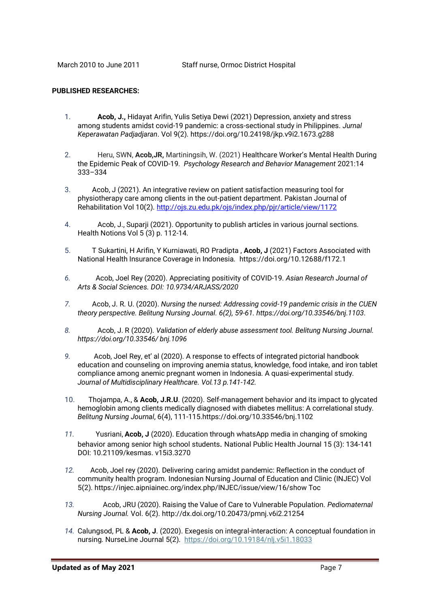#### **PUBLISHED RESEARCHES:**

- 1. **Acob, J.,** Hidayat Arifin, Yulis Setiya Dewi (2021) Depression, anxiety and stress among students amidst covid-19 pandemic: a cross-sectional study in Philippines. *Jurnal Keperawatan Padjadjaran*. Vol 9(2)[. https://doi.org/10.24198/jkp.v9i2.1673.g288](https://doi.org/10.24198/jkp.v9i2.1673.g288)
- 2. Heru, SWN, **Acob,JR,** Martiningsih, W. (2021) [Healthcare Worker's Mental](http://repo.poltekkesdepkes-sby.ac.id/2413/1/jour54.pdf) Health During [the Epidemic Peak of COVID-19](http://repo.poltekkesdepkes-sby.ac.id/2413/1/jour54.pdf)*. Psychology Research and Behavior Management* 2021:14 333–334
- 3. Acob, J (2021). An integrative review on patient satisfaction measuring tool for physiotherapy care among clients in the out-patient department. Pakistan Journal of Rehabilitation Vol 10(2).<http://ojs.zu.edu.pk/ojs/index.php/pjr/article/view/1172>
- 4. Acob, J., Suparji (2021). Opportunity to publish articles in various journal sections. Health Notions Vol 5 (3) p. 112-14.
- 5. T Sukartini, H Arifin, Y Kurniawati, RO Pradipta , **Acob, J** (2021) Factors Associated with National Health Insurance Coverage in Indonesia. <https://doi.org/10.12688/f172.1>
- *6.* Acob, Joel Rey (2020). Appreciating positivity of COVID-19. *Asian Research Journal of Arts & Social Sciences. DOI: 10.9734/ARJASS/2020*
- *7.* Acob, J. R. U. (2020). *Nursing the nursed: Addressing covid-19 pandemic crisis in the CUEN theory perspective. Belitung Nursing Journal. 6(2), 59-61. [https://doi.org/10.33546/bnj.1103.](https://doi.org/10.33546/bnj.1103)*
- *8.* Acob, J. R (2020)*. Validation of elderly abuse assessment tool. Belitung Nursing Journal. https://doi.org/10.33546/ bnj.1096*
- *9.* Acob, Joel Rey, et' al (2020). A response to effects of integrated pictorial handbook education and counseling on improving anemia status, knowledge, food intake, and iron tablet compliance among anemic pregnant women in Indonesia. A quasi-experimental study. *Journal of Multidisciplinary Healthcare. Vol.13 p.141-142.*
- 10.Thojampa, A., & **Acob, J.R.U**. (2020). Self-management behavior and its impact to glycated hemoglobin among clients medically diagnosed with diabetes mellitus: A correlational study. *Belitung Nursing Journal*, 6(4), 111-115.https://doi.org/10.33546/bnj.1102
- *11.* Yusriani, **Acob, J** (2020). Education through whatsApp media in changing of smoking behavior among senior high school students. National Public Health Journal 15 (3): 134-141 DOI: 10.21109/kesmas. v15i3.3270
- *12.* Acob, Joel rey (2020). Delivering caring amidst pandemic: Reflection in the conduct of community health program. Indonesian Nursing Journal of Education and Clinic (INJEC) Vol 5(2). https://injec.aipniainec.org/index.php/INJEC/issue/view/16/show Toc
- *13.* Acob, JRU (2020). Raising the Value of Care to Vulnerable Population*. Pediomaternal Nursing Journal.* Vol. 6(2). http://dx.doi.org/10.20473/pmnj.v6i2.21254
- *14.* Calungsod, PL & **Acob, J**. (2020). Exegesis on integral-interaction: A conceptual foundation in nursing*.* NurseLine Journal 5(2). <https://doi.org/10.19184/nlj.v5i1.18033>